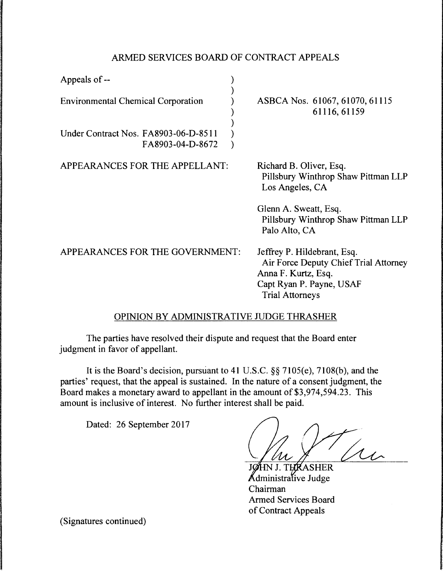## ARMED SERVICES BOARD OF CONTRACT APPEALS

| Appeals of --                                            |                                                                                                                                                   |
|----------------------------------------------------------|---------------------------------------------------------------------------------------------------------------------------------------------------|
| <b>Environmental Chemical Corporation</b>                | ASBCA Nos. 61067, 61070, 61115<br>61116, 61159                                                                                                    |
| Under Contract Nos. FA8903-06-D-8511<br>FA8903-04-D-8672 |                                                                                                                                                   |
| APPEARANCES FOR THE APPELLANT:                           | Richard B. Oliver, Esq.<br>Pillsbury Winthrop Shaw Pittman LLP<br>Los Angeles, CA                                                                 |
|                                                          | Glenn A. Sweatt, Esq.<br>Pillsbury Winthrop Shaw Pittman LLP<br>Palo Alto, CA                                                                     |
| APPEARANCES FOR THE GOVERNMENT:                          | Jeffrey P. Hildebrant, Esq.<br>Air Force Deputy Chief Trial Attorney<br>Anna F. Kurtz, Esq.<br>Capt Ryan P. Payne, USAF<br><b>Trial Attorneys</b> |

## OPINION BY ADMINISTRATIVE JUDGE THRASHER

The parties have resolved their dispute and request that the Board enter judgment in favor of appellant.

It is the Board's decision, pursuant to 41 U.S.C. §§ 7105(e), 7108(b), and the parties' request, that the appeal is sustained. In the nature of a consent judgment, the Board makes a monetary award to appellant in the amount of \$3,974,594.23. This amount is inclusive of interest. No further interest shall be paid.

Dated: 26 September 2017

 $\mu$ 

THIKASHER Administrative Judge Chairman Armed Services Board of Contract Appeals

(Signatures continued)